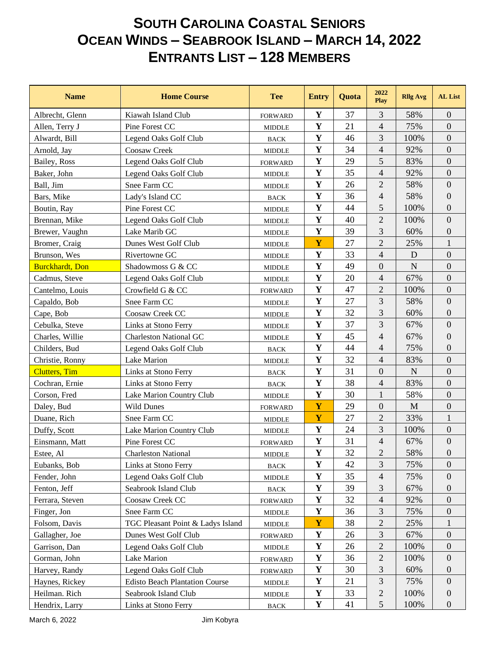## **SOUTH CAROLINA COASTAL SENIORS OCEAN WINDS – SEABROOK ISLAND – MARCH 14, 2022 ENTRANTS LIST – 128 MEMBERS**

| <b>Name</b>             | <b>Home Course</b>                    | <b>Tee</b>                      | <b>Entry</b> | Quota | 2022<br>Play     | <b>Rllg Avg</b> | <b>AL</b> List   |
|-------------------------|---------------------------------------|---------------------------------|--------------|-------|------------------|-----------------|------------------|
| Albrecht, Glenn         | Kiawah Island Club                    | <b>FORWARD</b>                  | Y            | 37    | 3                | 58%             | $\overline{0}$   |
| Allen, Terry J          | Pine Forest CC                        | <b>MIDDLE</b>                   | Y            | 21    | $\overline{4}$   | 75%             | $\boldsymbol{0}$ |
| Alwardt, Bill           | Legend Oaks Golf Club                 | <b>BACK</b>                     | Y            | 46    | 3                | 100%            | $\overline{0}$   |
| Arnold, Jay             | Coosaw Creek                          | <b>MIDDLE</b>                   | Y            | 34    | $\overline{4}$   | 92%             | $\overline{0}$   |
| Bailey, Ross            | Legend Oaks Golf Club                 | <b>FORWARD</b>                  | Y            | 29    | 5                | 83%             | $\boldsymbol{0}$ |
| Baker, John             | Legend Oaks Golf Club                 | <b>MIDDLE</b>                   | Y            | 35    | $\overline{4}$   | 92%             | $\boldsymbol{0}$ |
| Ball, Jim               | Snee Farm CC                          | <b>MIDDLE</b>                   | $\mathbf Y$  | 26    | $\mathbf{2}$     | 58%             | $\boldsymbol{0}$ |
| Bars, Mike              | Lady's Island CC                      | <b>BACK</b>                     | Y            | 36    | $\overline{4}$   | 58%             | $\boldsymbol{0}$ |
| Boutin, Ray             | Pine Forest CC                        | <b>MIDDLE</b>                   | Y            | 44    | 5                | 100%            | $\overline{0}$   |
| Brennan, Mike           | Legend Oaks Golf Club                 | <b>MIDDLE</b>                   | Y            | 40    | $\overline{2}$   | 100%            | $\boldsymbol{0}$ |
| Brewer, Vaughn          | Lake Marib GC                         | <b>MIDDLE</b>                   | Y            | 39    | 3                | 60%             | $\boldsymbol{0}$ |
| Bromer, Craig           | Dunes West Golf Club                  | <b>MIDDLE</b>                   | Y            | 27    | $\overline{2}$   | 25%             | $\mathbf{1}$     |
| Brunson, Wes            | Rivertowne GC                         | <b>MIDDLE</b>                   | Y            | 33    | $\overline{4}$   | D               | $\boldsymbol{0}$ |
| <b>Burckhardt</b> , Don | Shadowmoss G & CC                     | <b>MIDDLE</b>                   | Y            | 49    | $\boldsymbol{0}$ | $\mathbf N$     | $\boldsymbol{0}$ |
| Cadmus, Steve           | Legend Oaks Golf Club                 | <b>MIDDLE</b>                   | Y            | 20    | $\overline{4}$   | 67%             | $\mathbf{0}$     |
| Cantelmo, Louis         | Crowfield G & CC                      | <b>FORWARD</b>                  | $\mathbf Y$  | 47    | $\overline{2}$   | 100%            | $\boldsymbol{0}$ |
| Capaldo, Bob            | Snee Farm CC                          | <b>MIDDLE</b>                   | Y            | 27    | 3                | 58%             | $\boldsymbol{0}$ |
| Cape, Bob               | Coosaw Creek CC                       | <b>MIDDLE</b>                   | Y            | 32    | 3                | 60%             | $\boldsymbol{0}$ |
| Cebulka, Steve          | Links at Stono Ferry                  | <b>MIDDLE</b>                   | Y            | 37    | 3                | 67%             | $\boldsymbol{0}$ |
| Charles, Willie         | <b>Charleston National GC</b>         | <b>MIDDLE</b>                   | $\mathbf Y$  | 45    | $\overline{4}$   | 67%             | $\boldsymbol{0}$ |
| Childers, Bud           | Legend Oaks Golf Club                 | <b>BACK</b>                     | Y            | 44    | $\overline{4}$   | 75%             | $\boldsymbol{0}$ |
| Christie, Ronny         | Lake Marion                           | <b>MIDDLE</b>                   | Y            | 32    | $\overline{4}$   | 83%             | $\boldsymbol{0}$ |
| <b>Clutters</b> , Tim   | Links at Stono Ferry                  | <b>BACK</b>                     | Y            | 31    | $\overline{0}$   | $\mathbf N$     | $\overline{0}$   |
| Cochran, Ernie          | Links at Stono Ferry                  | <b>BACK</b>                     | Y            | 38    | $\overline{4}$   | 83%             | $\boldsymbol{0}$ |
| Corson, Fred            | Lake Marion Country Club              | <b>MIDDLE</b>                   | Y            | 30    | $\mathbf{1}$     | 58%             | $\boldsymbol{0}$ |
| Daley, Bud              | <b>Wild Dunes</b>                     | <b>FORWARD</b>                  | Y            | 29    | $\boldsymbol{0}$ | M               | $\boldsymbol{0}$ |
| Duane, Rich             | Snee Farm CC                          | <b>MIDDLE</b>                   | Y            | 27    | $\overline{2}$   | 33%             | $\mathbf{1}$     |
| Duffy, Scott            | Lake Marion Country Club              | <b>MIDDLE</b>                   | Y            | 24    | 3                | 100%            | $\mathbf{0}$     |
| Einsmann, Matt          | Pine Forest CC                        | <b>FORWARD</b>                  | $\mathbf Y$  | 31    | $\overline{4}$   | 67%             | $\boldsymbol{0}$ |
| Estee, Al               | <b>Charleston National</b>            | <b>MIDDLE</b>                   | Y            | 32    | 2                | 58%             | $\overline{0}$   |
| Eubanks, Bob            | Links at Stono Ferry                  | <b>BACK</b>                     | Y            | 42    | 3                | 75%             | $\overline{0}$   |
| Fender, John            | Legend Oaks Golf Club                 | <b>MIDDLE</b>                   | $\mathbf Y$  | 35    | $\overline{4}$   | 75%             | $\boldsymbol{0}$ |
| Fenton, Jeff            | Seabrook Island Club                  | $_{\mbox{\footnotesize{BACK}}}$ | Y            | 39    | 3                | 67%             | $\mathbf{0}$     |
| Ferrara, Steven         | Coosaw Creek CC                       | <b>FORWARD</b>                  | Y            | 32    | $\overline{4}$   | 92%             | $\mathbf{0}$     |
| Finger, Jon             | Snee Farm CC                          | MIDDLE                          | Y            | 36    | $\mathfrak{Z}$   | 75%             | $\mathbf{0}$     |
| Folsom, Davis           | TGC Pleasant Point & Ladys Island     | <b>MIDDLE</b>                   | Y            | 38    | $\mathbf{2}$     | 25%             | 1                |
| Gallagher, Joe          | Dunes West Golf Club                  | <b>FORWARD</b>                  | Y            | 26    | $\mathfrak{Z}$   | 67%             | $\boldsymbol{0}$ |
| Garrison, Dan           | Legend Oaks Golf Club                 | $\ensuremath{\mathsf{MIDDLE}}$  | Y            | 26    | $\mathbf{2}$     | 100%            | $\mathbf{0}$     |
| Gorman, John            | Lake Marion                           | <b>FORWARD</b>                  | $\mathbf Y$  | 36    | $\mathbf{2}$     | 100%            | $\mathbf{0}$     |
| Harvey, Randy           | Legend Oaks Golf Club                 | <b>FORWARD</b>                  | Y            | 30    | $\mathfrak{Z}$   | 60%             | $\overline{0}$   |
| Haynes, Rickey          | <b>Edisto Beach Plantation Course</b> | <b>MIDDLE</b>                   | Y            | 21    | $\mathfrak{Z}$   | 75%             | $\mathbf{0}$     |
| Heilman. Rich           | Seabrook Island Club                  | <b>MIDDLE</b>                   | $\mathbf Y$  | 33    | $\sqrt{2}$       | 100%            | $\boldsymbol{0}$ |
| Hendrix, Larry          | Links at Stono Ferry                  | $_{\mbox{\footnotesize{BACK}}}$ | $\mathbf Y$  | 41    | $\sqrt{5}$       | 100%            | $\overline{0}$   |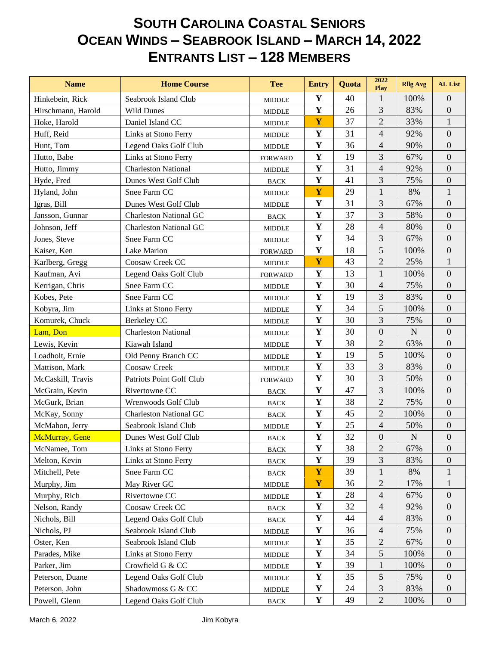## **SOUTH CAROLINA COASTAL SENIORS OCEAN WINDS – SEABROOK ISLAND – MARCH 14, 2022 ENTRANTS LIST – 128 MEMBERS**

| <b>Name</b>        | <b>Home Course</b>            | <b>Tee</b>                      | <b>Entry</b> | Quota | 2022<br>Play     | <b>Rllg Avg</b> | <b>AL</b> List   |
|--------------------|-------------------------------|---------------------------------|--------------|-------|------------------|-----------------|------------------|
| Hinkebein, Rick    | Seabrook Island Club          | <b>MIDDLE</b>                   | $\mathbf Y$  | 40    | 1                | 100%            | $\boldsymbol{0}$ |
| Hirschmann, Harold | <b>Wild Dunes</b>             | <b>MIDDLE</b>                   | $\mathbf Y$  | 26    | 3                | 83%             | $\boldsymbol{0}$ |
| Hoke, Harold       | Daniel Island CC              | <b>MIDDLE</b>                   | $\mathbf Y$  | 37    | $\overline{2}$   | 33%             | $\mathbf{1}$     |
| Huff, Reid         | Links at Stono Ferry          | <b>MIDDLE</b>                   | $\mathbf Y$  | 31    | $\overline{4}$   | 92%             | $\overline{0}$   |
| Hunt, Tom          | Legend Oaks Golf Club         | <b>MIDDLE</b>                   | $\mathbf Y$  | 36    | $\overline{4}$   | 90%             | $\boldsymbol{0}$ |
| Hutto, Babe        | Links at Stono Ferry          | <b>FORWARD</b>                  | $\mathbf Y$  | 19    | 3                | 67%             | $\boldsymbol{0}$ |
| Hutto, Jimmy       | <b>Charleston National</b>    | <b>MIDDLE</b>                   | $\mathbf Y$  | 31    | $\overline{4}$   | 92%             | $\boldsymbol{0}$ |
| Hyde, Fred         | Dunes West Golf Club          | <b>BACK</b>                     | $\mathbf Y$  | 41    | 3                | 75%             | $\boldsymbol{0}$ |
| Hyland, John       | Snee Farm CC                  | <b>MIDDLE</b>                   | Y            | 29    | $\mathbf{1}$     | 8%              | $\mathbf{1}$     |
| Igras, Bill        | Dunes West Golf Club          | <b>MIDDLE</b>                   | $\mathbf Y$  | 31    | 3                | 67%             | $\boldsymbol{0}$ |
| Jansson, Gunnar    | <b>Charleston National GC</b> | <b>BACK</b>                     | $\mathbf Y$  | 37    | 3                | 58%             | $\boldsymbol{0}$ |
| Johnson, Jeff      | <b>Charleston National GC</b> | <b>MIDDLE</b>                   | $\mathbf Y$  | 28    | $\overline{4}$   | 80%             | $\boldsymbol{0}$ |
| Jones, Steve       | Snee Farm CC                  | <b>MIDDLE</b>                   | $\mathbf Y$  | 34    | 3                | 67%             | $\boldsymbol{0}$ |
| Kaiser, Ken        | Lake Marion                   | <b>FORWARD</b>                  | $\mathbf Y$  | 18    | 5                | 100%            | $\boldsymbol{0}$ |
| Karlberg, Gregg    | Coosaw Creek CC               | <b>MIDDLE</b>                   | Y            | 43    | $\overline{2}$   | 25%             | $\mathbf{1}$     |
| Kaufman, Avi       | Legend Oaks Golf Club         | <b>FORWARD</b>                  | $\mathbf Y$  | 13    | 1                | 100%            | $\boldsymbol{0}$ |
| Kerrigan, Chris    | Snee Farm CC                  | <b>MIDDLE</b>                   | $\mathbf Y$  | 30    | $\overline{4}$   | 75%             | $\overline{0}$   |
| Kobes, Pete        | Snee Farm CC                  | <b>MIDDLE</b>                   | $\mathbf Y$  | 19    | $\mathfrak{Z}$   | 83%             | $\boldsymbol{0}$ |
| Kobyra, Jim        | Links at Stono Ferry          | <b>MIDDLE</b>                   | $\mathbf Y$  | 34    | 5                | 100%            | $\boldsymbol{0}$ |
| Komurek, Chuck     | Berkeley CC                   | <b>MIDDLE</b>                   | $\mathbf Y$  | 30    | 3                | 75%             | $\boldsymbol{0}$ |
| Lam, Don           | <b>Charleston National</b>    | <b>MIDDLE</b>                   | $\mathbf Y$  | 30    | $\boldsymbol{0}$ | $\mathbf N$     | $\boldsymbol{0}$ |
| Lewis, Kevin       | Kiawah Island                 | <b>MIDDLE</b>                   | $\mathbf Y$  | 38    | $\overline{2}$   | 63%             | $\boldsymbol{0}$ |
| Loadholt, Ernie    | Old Penny Branch CC           | <b>MIDDLE</b>                   | $\mathbf Y$  | 19    | 5                | 100%            | $\boldsymbol{0}$ |
| Mattison, Mark     | Coosaw Creek                  | <b>MIDDLE</b>                   | $\mathbf Y$  | 33    | 3                | 83%             | $\boldsymbol{0}$ |
| McCaskill, Travis  | Patriots Point Golf Club      | <b>FORWARD</b>                  | $\mathbf Y$  | 30    | 3                | 50%             | $\boldsymbol{0}$ |
| McGrain, Kevin     | Rivertowne CC                 | <b>BACK</b>                     | $\mathbf Y$  | 47    | $\mathfrak{Z}$   | 100%            | $\boldsymbol{0}$ |
| McGurk, Brian      | Wrenwoods Golf Club           | <b>BACK</b>                     | $\mathbf Y$  | 38    | $\overline{2}$   | 75%             | $\boldsymbol{0}$ |
| McKay, Sonny       | <b>Charleston National GC</b> | <b>BACK</b>                     | $\mathbf Y$  | 45    | $\overline{2}$   | 100%            | $\boldsymbol{0}$ |
| McMahon, Jerry     | Seabrook Island Club          | <b>MIDDLE</b>                   | $\mathbf Y$  | 25    | $\overline{4}$   | 50%             | $\boldsymbol{0}$ |
| McMurray, Gene     | Dunes West Golf Club          | <b>BACK</b>                     | $\mathbf Y$  | 32    | $\mathbf{0}$     | $\mathbf N$     | $\boldsymbol{0}$ |
| McNamee, Tom       | Links at Stono Ferry          | BACK                            | $\mathbf Y$  | 38    | $\mathbf{2}$     | 67%             | $\boldsymbol{0}$ |
| Melton, Kevin      | Links at Stono Ferry          | <b>BACK</b>                     | $\mathbf Y$  | 39    | 3                | 83%             | 0                |
| Mitchell, Pete     | Snee Farm CC                  | $_{\mbox{\footnotesize{BACK}}}$ | $\mathbf Y$  | 39    | 1                | 8%              | 1                |
| Murphy, Jim        | May River GC                  | <b>MIDDLE</b>                   | Y            | 36    | $\overline{c}$   | 17%             | 1                |
| Murphy, Rich       | Rivertowne CC                 | <b>MIDDLE</b>                   | $\mathbf Y$  | 28    | $\overline{4}$   | 67%             | $\boldsymbol{0}$ |
| Nelson, Randy      | Coosaw Creek CC               | <b>BACK</b>                     | $\mathbf Y$  | 32    | $\overline{4}$   | 92%             | $\boldsymbol{0}$ |
| Nichols, Bill      | Legend Oaks Golf Club         | $_{\mbox{\footnotesize{BACK}}}$ | Y            | 44    | $\overline{4}$   | 83%             | $\overline{0}$   |
| Nichols, PJ        | Seabrook Island Club          | <b>MIDDLE</b>                   | $\mathbf Y$  | 36    | $\overline{4}$   | 75%             | $\overline{0}$   |
| Oster, Ken         | Seabrook Island Club          | <b>MIDDLE</b>                   | $\mathbf Y$  | 35    | $\sqrt{2}$       | 67%             | $\overline{0}$   |
| Parades, Mike      | Links at Stono Ferry          | <b>MIDDLE</b>                   | $\mathbf Y$  | 34    | 5                | 100%            | $\boldsymbol{0}$ |
| Parker, Jim        | Crowfield G & CC              | <b>MIDDLE</b>                   | $\mathbf Y$  | 39    | $\mathbf{1}$     | 100%            | $\boldsymbol{0}$ |
| Peterson, Duane    | Legend Oaks Golf Club         | <b>MIDDLE</b>                   | Y            | 35    | 5                | 75%             | $\overline{0}$   |
| Peterson, John     | Shadowmoss G & CC             | <b>MIDDLE</b>                   | $\mathbf Y$  | 24    | 3                | 83%             | $\overline{0}$   |
| Powell, Glenn      | Legend Oaks Golf Club         | $_{\mbox{\footnotesize{BACK}}}$ | Y            | 49    | $\sqrt{2}$       | 100%            | $\boldsymbol{0}$ |